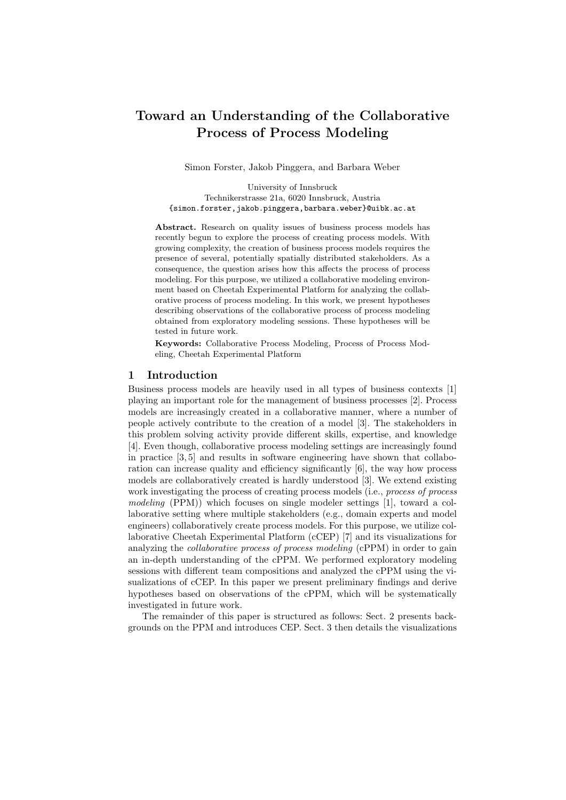# Toward an Understanding of the Collaborative Process of Process Modeling

Simon Forster, Jakob Pinggera, and Barbara Weber

University of Innsbruck Technikerstrasse 21a, 6020 Innsbruck, Austria {simon.forster,jakob.pinggera,barbara.weber}@uibk.ac.at

Abstract. Research on quality issues of business process models has recently begun to explore the process of creating process models. With growing complexity, the creation of business process models requires the presence of several, potentially spatially distributed stakeholders. As a consequence, the question arises how this affects the process of process modeling. For this purpose, we utilized a collaborative modeling environment based on Cheetah Experimental Platform for analyzing the collaborative process of process modeling. In this work, we present hypotheses describing observations of the collaborative process of process modeling obtained from exploratory modeling sessions. These hypotheses will be tested in future work.

Keywords: Collaborative Process Modeling, Process of Process Modeling, Cheetah Experimental Platform

#### 1 Introduction

Business process models are heavily used in all types of business contexts [1] playing an important role for the management of business processes [2]. Process models are increasingly created in a collaborative manner, where a number of people actively contribute to the creation of a model [3]. The stakeholders in this problem solving activity provide different skills, expertise, and knowledge [4]. Even though, collaborative process modeling settings are increasingly found in practice [3, 5] and results in software engineering have shown that collaboration can increase quality and efficiency significantly [6], the way how process models are collaboratively created is hardly understood [3]. We extend existing work investigating the process of creating process models (i.e., process of process modeling (PPM)) which focuses on single modeler settings [1], toward a collaborative setting where multiple stakeholders (e.g., domain experts and model engineers) collaboratively create process models. For this purpose, we utilize collaborative Cheetah Experimental Platform (cCEP) [7] and its visualizations for analyzing the collaborative process of process modeling (cPPM) in order to gain an in-depth understanding of the cPPM. We performed exploratory modeling sessions with different team compositions and analyzed the cPPM using the visualizations of cCEP. In this paper we present preliminary findings and derive hypotheses based on observations of the cPPM, which will be systematically investigated in future work.

The remainder of this paper is structured as follows: Sect. 2 presents backgrounds on the PPM and introduces CEP. Sect. 3 then details the visualizations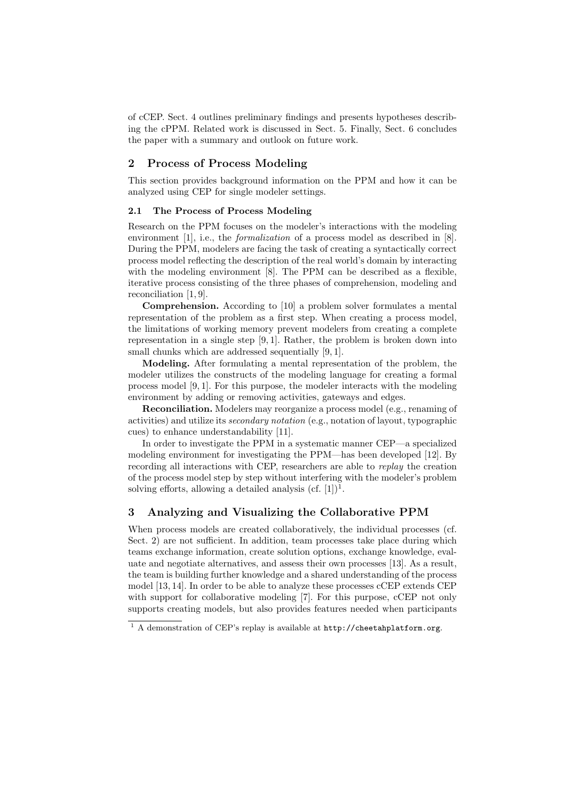of cCEP. Sect. 4 outlines preliminary findings and presents hypotheses describing the cPPM. Related work is discussed in Sect. 5. Finally, Sect. 6 concludes the paper with a summary and outlook on future work.

## 2 Process of Process Modeling

This section provides background information on the PPM and how it can be analyzed using CEP for single modeler settings.

#### 2.1 The Process of Process Modeling

Research on the PPM focuses on the modeler's interactions with the modeling environment [1], i.e., the *formalization* of a process model as described in [8]. During the PPM, modelers are facing the task of creating a syntactically correct process model reflecting the description of the real world's domain by interacting with the modeling environment [8]. The PPM can be described as a flexible, iterative process consisting of the three phases of comprehension, modeling and reconciliation [1, 9].

Comprehension. According to [10] a problem solver formulates a mental representation of the problem as a first step. When creating a process model, the limitations of working memory prevent modelers from creating a complete representation in a single step [9, 1]. Rather, the problem is broken down into small chunks which are addressed sequentially [9, 1].

Modeling. After formulating a mental representation of the problem, the modeler utilizes the constructs of the modeling language for creating a formal process model [9, 1]. For this purpose, the modeler interacts with the modeling environment by adding or removing activities, gateways and edges.

Reconciliation. Modelers may reorganize a process model (e.g., renaming of activities) and utilize its secondary notation (e.g., notation of layout, typographic cues) to enhance understandability [11].

In order to investigate the PPM in a systematic manner CEP—a specialized modeling environment for investigating the PPM—has been developed [12]. By recording all interactions with CEP, researchers are able to replay the creation of the process model step by step without interfering with the modeler's problem solving efforts, allowing a detailed analysis  $(cf. [1])<sup>1</sup>$ .

### 3 Analyzing and Visualizing the Collaborative PPM

When process models are created collaboratively, the individual processes (cf. Sect. 2) are not sufficient. In addition, team processes take place during which teams exchange information, create solution options, exchange knowledge, evaluate and negotiate alternatives, and assess their own processes [13]. As a result, the team is building further knowledge and a shared understanding of the process model [13, 14]. In order to be able to analyze these processes cCEP extends CEP with support for collaborative modeling [7]. For this purpose, cCEP not only supports creating models, but also provides features needed when participants

<sup>1</sup> A demonstration of CEP's replay is available at http://cheetahplatform.org.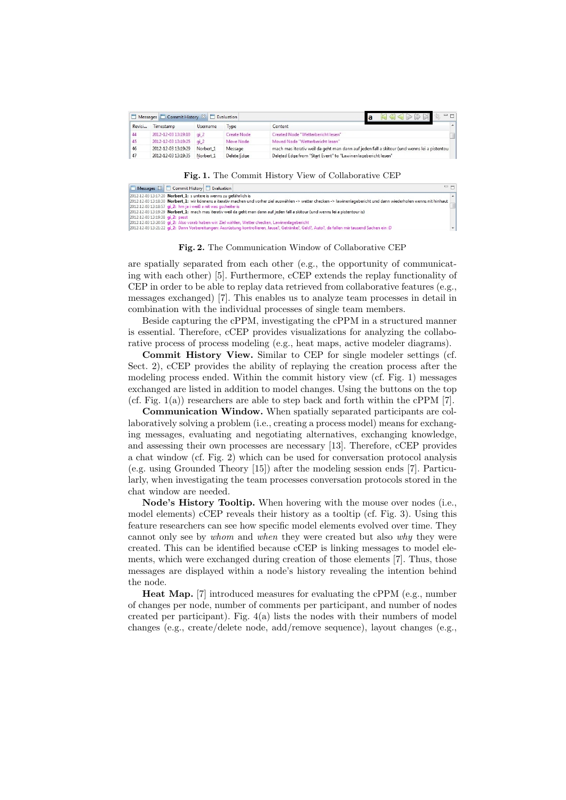|        | Messages Commit History & Evaluation |                 |             | $\bigotimes \bigotimes \bigotimes \bigotimes$                                               | $= 1$ |
|--------|--------------------------------------|-----------------|-------------|---------------------------------------------------------------------------------------------|-------|
| Revisi | Timestamp                            | <b>Username</b> | Type        | Content                                                                                     |       |
| 44     | 2012-12-03 13:19:10 qi 2             |                 | Create Node | Created Node "Wetterbericht lesen"                                                          |       |
| 45     | 2012-12-03 13:19:25 gi 2             |                 | Move Node   | Moved Node "Wetterbericht lesen"                                                            |       |
| 46     | 2012-12-03 13:19:29                  | Norbert 1       | Message     | mach mas iterativ weil da geht man dann auf jeden fall a skitour (und wenns lei a pistentou |       |
| 47     | 2012-12-03 13:19:35                  | Norbert 1       | Delete Edge | Deleted Edge from "Start Event" to "Lawinenlagebericht lesen"                               |       |

Fig. 1. The Commit History View of Collaborative CEP

| $=$ $F$<br>Messages & Commit History Evaluation                                                                                                                       |  |
|-----------------------------------------------------------------------------------------------------------------------------------------------------------------------|--|
| 2012-12-03 13:17:20 Norbert_1: s untere is wenns zu gefährlich is                                                                                                     |  |
| 2012-12-03 13:18:30 Norbert_1: wir könnens a iterativ machen und vorher ziel auswählen -> wetter checken -> lawinenlagebericht und dann wiederholen wenns nit hinhaut |  |
| 2012-12-03 13:18:57 <b>gi_2:</b> hm ja i weiß a nit was gscheiter is                                                                                                  |  |
| [2012-12-03 13:19:29 Norbert_1: mach mas iterativ weil da geht man dann auf jeden fall a skitour (und wenns lei a pistentour is)                                      |  |
| 2012-12-03 13:19:38 <b>gi 2:</b> passt                                                                                                                                |  |
| 2012-12-03 13:20:50 gi 2: Also vorab haben wir: Ziel wählen, Wetter checken, Lawinenlagebericht                                                                       |  |
| 2: Dann Vorbereitungen: Ausrüstung kontrollieren, Jause?, Getränke?, Geld?, Auto?, da fallen mir tausend Sachen ein: D                                                |  |

Fig. 2. The Communication Window of Collaborative CEP

are spatially separated from each other (e.g., the opportunity of communicating with each other) [5]. Furthermore, cCEP extends the replay functionality of CEP in order to be able to replay data retrieved from collaborative features (e.g., messages exchanged) [7]. This enables us to analyze team processes in detail in combination with the individual processes of single team members.

Beside capturing the cPPM, investigating the cPPM in a structured manner is essential. Therefore, cCEP provides visualizations for analyzing the collaborative process of process modeling (e.g., heat maps, active modeler diagrams).

Commit History View. Similar to CEP for single modeler settings (cf. Sect. 2), cCEP provides the ability of replaying the creation process after the modeling process ended. Within the commit history view (cf. Fig. 1) messages exchanged are listed in addition to model changes. Using the buttons on the top (cf. Fig.  $1(a)$ ) researchers are able to step back and forth within the cPPM [7].

Communication Window. When spatially separated participants are collaboratively solving a problem (i.e., creating a process model) means for exchanging messages, evaluating and negotiating alternatives, exchanging knowledge, and assessing their own processes are necessary [13]. Therefore, cCEP provides a chat window (cf. Fig. 2) which can be used for conversation protocol analysis (e.g. using Grounded Theory [15]) after the modeling session ends [7]. Particularly, when investigating the team processes conversation protocols stored in the chat window are needed.

Node's History Tooltip. When hovering with the mouse over nodes (i.e., model elements) cCEP reveals their history as a tooltip (cf. Fig. 3). Using this feature researchers can see how specific model elements evolved over time. They cannot only see by whom and when they were created but also why they were created. This can be identified because cCEP is linking messages to model elements, which were exchanged during creation of those elements [7]. Thus, those messages are displayed within a node's history revealing the intention behind the node.

Heat Map. [7] introduced measures for evaluating the cPPM (e.g., number of changes per node, number of comments per participant, and number of nodes created per participant). Fig. 4(a) lists the nodes with their numbers of model changes (e.g., create/delete node, add/remove sequence), layout changes (e.g.,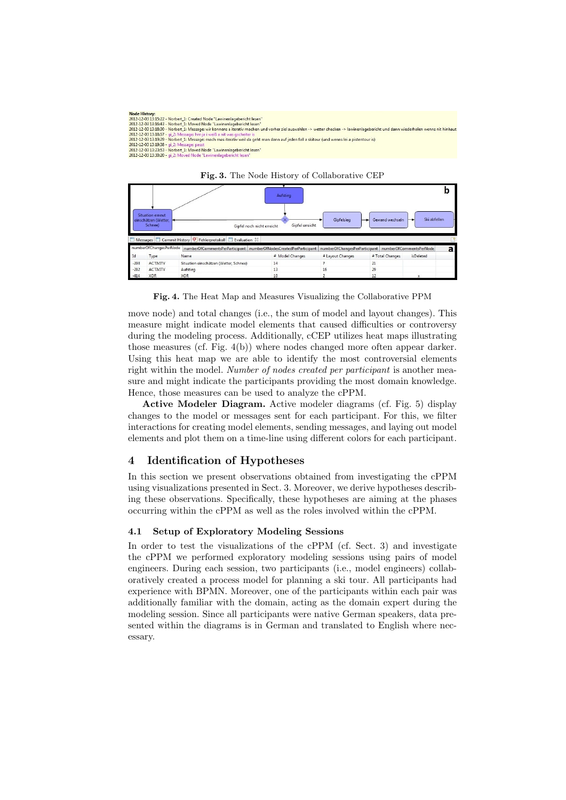| <b>Node History:</b><br>2012-12-03 13:15:22 - Norbert 1: Created Node "Lawinenlagebericht lesen"<br>2012-12-03 13:16:43 - Norbert 1: Moved Node "Lawinenlagebericht lesen"<br>2012-12-03 13:18:30 - Norbert 1: Message: wir könnens a iterativ machen und vorher ziel auswählen -> wetter checken -> lawinenlagebericht und dann wiederholen wenns nit hinhaut<br>2012-12-03 13:18:57 - gi 2: Message: hm ja i weiß a nit was gscheiter is<br>2012-12-03 13:19:29 - Norbert 1: Message: mach mas iterativ weil da geht man dann auf jeden fall a skitour (und wenns lei a pistentour is)<br>2012-12-03 13:19:38 - gi 2: Message: passt<br>2012-12-03 13:23:53 - Norbert 1: Moved Node "Lawinenlagebericht lesen" |
|------------------------------------------------------------------------------------------------------------------------------------------------------------------------------------------------------------------------------------------------------------------------------------------------------------------------------------------------------------------------------------------------------------------------------------------------------------------------------------------------------------------------------------------------------------------------------------------------------------------------------------------------------------------------------------------------------------------|
| 2012-12-03 13:30:20 - gi 2: Moved Node "Lawinenlagebericht lesen"                                                                                                                                                                                                                                                                                                                                                                                                                                                                                                                                                                                                                                                |





Fig. 4. The Heat Map and Measures Visualizing the Collaborative PPM

move node) and total changes (i.e., the sum of model and layout changes). This measure might indicate model elements that caused difficulties or controversy during the modeling process. Additionally, cCEP utilizes heat maps illustrating those measures (cf. Fig. 4(b)) where nodes changed more often appear darker. Using this heat map we are able to identify the most controversial elements right within the model. Number of nodes created per participant is another measure and might indicate the participants providing the most domain knowledge. Hence, those measures can be used to analyze the cPPM.

Active Modeler Diagram. Active modeler diagrams (cf. Fig. 5) display changes to the model or messages sent for each participant. For this, we filter interactions for creating model elements, sending messages, and laying out model elements and plot them on a time-line using different colors for each participant.

# 4 Identification of Hypotheses

In this section we present observations obtained from investigating the cPPM using visualizations presented in Sect. 3. Moreover, we derive hypotheses describing these observations. Specifically, these hypotheses are aiming at the phases occurring within the cPPM as well as the roles involved within the cPPM.

#### 4.1 Setup of Exploratory Modeling Sessions

In order to test the visualizations of the cPPM (cf. Sect. 3) and investigate the cPPM we performed exploratory modeling sessions using pairs of model engineers. During each session, two participants (i.e., model engineers) collaboratively created a process model for planning a ski tour. All participants had experience with BPMN. Moreover, one of the participants within each pair was additionally familiar with the domain, acting as the domain expert during the modeling session. Since all participants were native German speakers, data presented within the diagrams is in German and translated to English where necessary.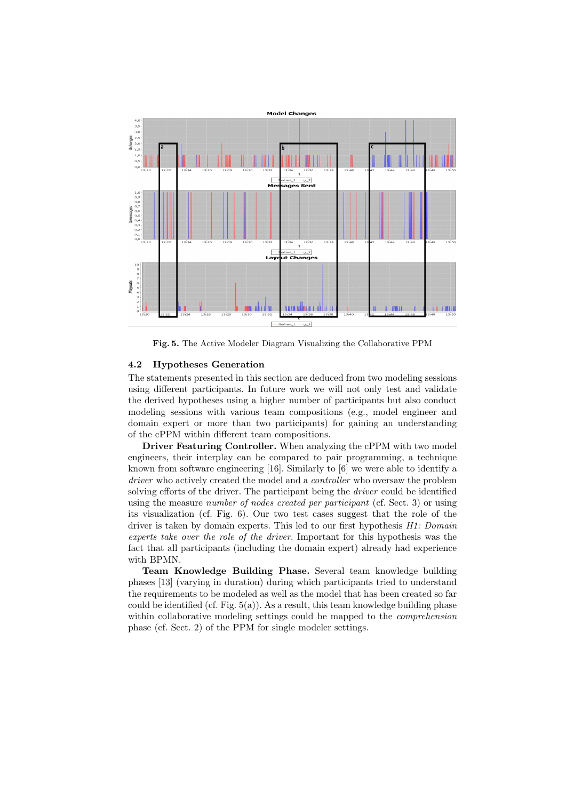

Fig. 5. The Active Modeler Diagram Visualizing the Collaborative PPM

#### 4.2 Hypotheses Generation

The statements presented in this section are deduced from two modeling sessions using different participants. In future work we will not only test and validate the derived hypotheses using a higher number of participants but also conduct modeling sessions with various team compositions (e.g., model engineer and domain expert or more than two participants) for gaining an understanding of the cPPM within different team compositions.

Driver Featuring Controller. When analyzing the cPPM with two model engineers, their interplay can be compared to pair programming, a technique known from software engineering [16]. Similarly to [6] we were able to identify a driver who actively created the model and a *controller* who oversaw the problem solving efforts of the driver. The participant being the *driver* could be identified using the measure number of nodes created per participant (cf. Sect. 3) or using its visualization (cf. Fig. 6). Our two test cases suggest that the role of the driver is taken by domain experts. This led to our first hypothesis H1: Domain experts take over the role of the driver. Important for this hypothesis was the fact that all participants (including the domain expert) already had experience with BPMN.

Team Knowledge Building Phase. Several team knowledge building phases [13] (varying in duration) during which participants tried to understand the requirements to be modeled as well as the model that has been created so far could be identified (cf. Fig.  $5(a)$ ). As a result, this team knowledge building phase within collaborative modeling settings could be mapped to the *comprehension* phase (cf. Sect. 2) of the PPM for single modeler settings.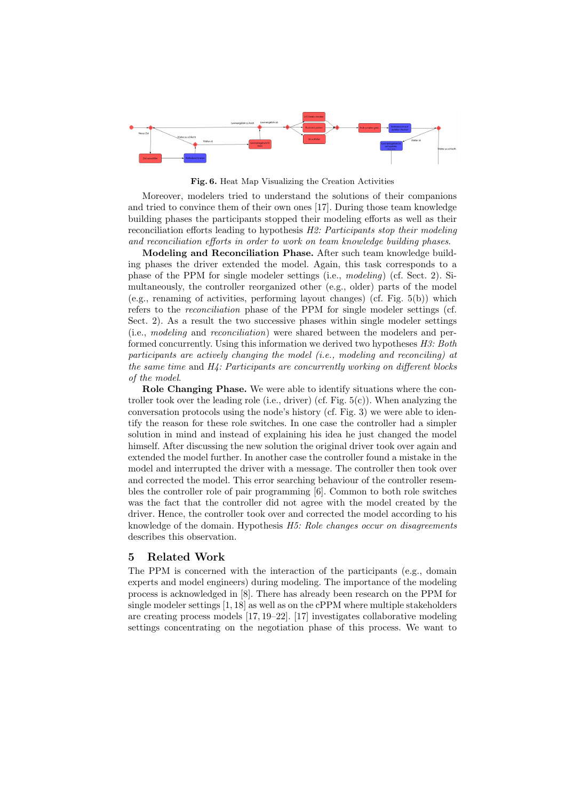

Fig. 6. Heat Map Visualizing the Creation Activities

Moreover, modelers tried to understand the solutions of their companions and tried to convince them of their own ones [17]. During those team knowledge building phases the participants stopped their modeling efforts as well as their reconciliation efforts leading to hypothesis H2: Participants stop their modeling and reconciliation efforts in order to work on team knowledge building phases.

Modeling and Reconciliation Phase. After such team knowledge building phases the driver extended the model. Again, this task corresponds to a phase of the PPM for single modeler settings (i.e., modeling) (cf. Sect. 2). Simultaneously, the controller reorganized other (e.g., older) parts of the model (e.g., renaming of activities, performing layout changes) (cf. Fig. 5(b)) which refers to the reconciliation phase of the PPM for single modeler settings (cf. Sect. 2). As a result the two successive phases within single modeler settings (i.e., modeling and reconciliation) were shared between the modelers and performed concurrently. Using this information we derived two hypotheses  $H3: Both$ participants are actively changing the model (i.e., modeling and reconciling) at the same time and H4: Participants are concurrently working on different blocks of the model.

Role Changing Phase. We were able to identify situations where the controller took over the leading role (i.e., driver) (cf. Fig. 5(c)). When analyzing the conversation protocols using the node's history (cf. Fig. 3) we were able to identify the reason for these role switches. In one case the controller had a simpler solution in mind and instead of explaining his idea he just changed the model himself. After discussing the new solution the original driver took over again and extended the model further. In another case the controller found a mistake in the model and interrupted the driver with a message. The controller then took over and corrected the model. This error searching behaviour of the controller resembles the controller role of pair programming [6]. Common to both role switches was the fact that the controller did not agree with the model created by the driver. Hence, the controller took over and corrected the model according to his knowledge of the domain. Hypothesis H5: Role changes occur on disagreements describes this observation.

#### 5 Related Work

The PPM is concerned with the interaction of the participants (e.g., domain experts and model engineers) during modeling. The importance of the modeling process is acknowledged in [8]. There has already been research on the PPM for single modeler settings [1, 18] as well as on the cPPM where multiple stakeholders are creating process models [17, 19–22]. [17] investigates collaborative modeling settings concentrating on the negotiation phase of this process. We want to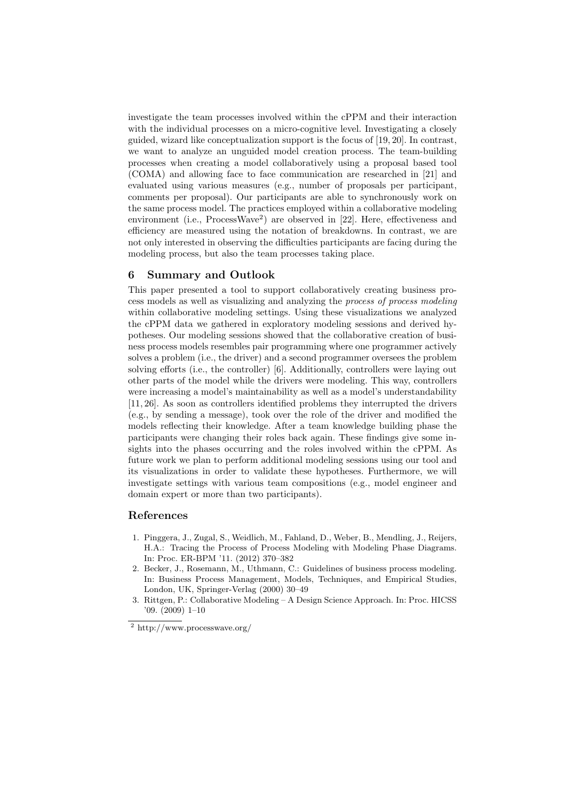investigate the team processes involved within the cPPM and their interaction with the individual processes on a micro-cognitive level. Investigating a closely guided, wizard like conceptualization support is the focus of [19, 20]. In contrast, we want to analyze an unguided model creation process. The team-building processes when creating a model collaboratively using a proposal based tool (COMA) and allowing face to face communication are researched in [21] and evaluated using various measures (e.g., number of proposals per participant, comments per proposal). Our participants are able to synchronously work on the same process model. The practices employed within a collaborative modeling environment (i.e., ProcessWave<sup>2</sup>) are observed in [22]. Here, effectiveness and efficiency are measured using the notation of breakdowns. In contrast, we are not only interested in observing the difficulties participants are facing during the modeling process, but also the team processes taking place.

#### 6 Summary and Outlook

This paper presented a tool to support collaboratively creating business process models as well as visualizing and analyzing the process of process modeling within collaborative modeling settings. Using these visualizations we analyzed the cPPM data we gathered in exploratory modeling sessions and derived hypotheses. Our modeling sessions showed that the collaborative creation of business process models resembles pair programming where one programmer actively solves a problem (i.e., the driver) and a second programmer oversees the problem solving efforts (i.e., the controller) [6]. Additionally, controllers were laying out other parts of the model while the drivers were modeling. This way, controllers were increasing a model's maintainability as well as a model's understandability [11, 26]. As soon as controllers identified problems they interrupted the drivers (e.g., by sending a message), took over the role of the driver and modified the models reflecting their knowledge. After a team knowledge building phase the participants were changing their roles back again. These findings give some insights into the phases occurring and the roles involved within the cPPM. As future work we plan to perform additional modeling sessions using our tool and its visualizations in order to validate these hypotheses. Furthermore, we will investigate settings with various team compositions (e.g., model engineer and domain expert or more than two participants).

# References

- 1. Pinggera, J., Zugal, S., Weidlich, M., Fahland, D., Weber, B., Mendling, J., Reijers, H.A.: Tracing the Process of Process Modeling with Modeling Phase Diagrams. In: Proc. ER-BPM '11. (2012) 370–382
- 2. Becker, J., Rosemann, M., Uthmann, C.: Guidelines of business process modeling. In: Business Process Management, Models, Techniques, and Empirical Studies, London, UK, Springer-Verlag (2000) 30–49
- 3. Rittgen, P.: Collaborative Modeling A Design Science Approach. In: Proc. HICSS '09. (2009) 1–10

<sup>2</sup> http://www.processwave.org/